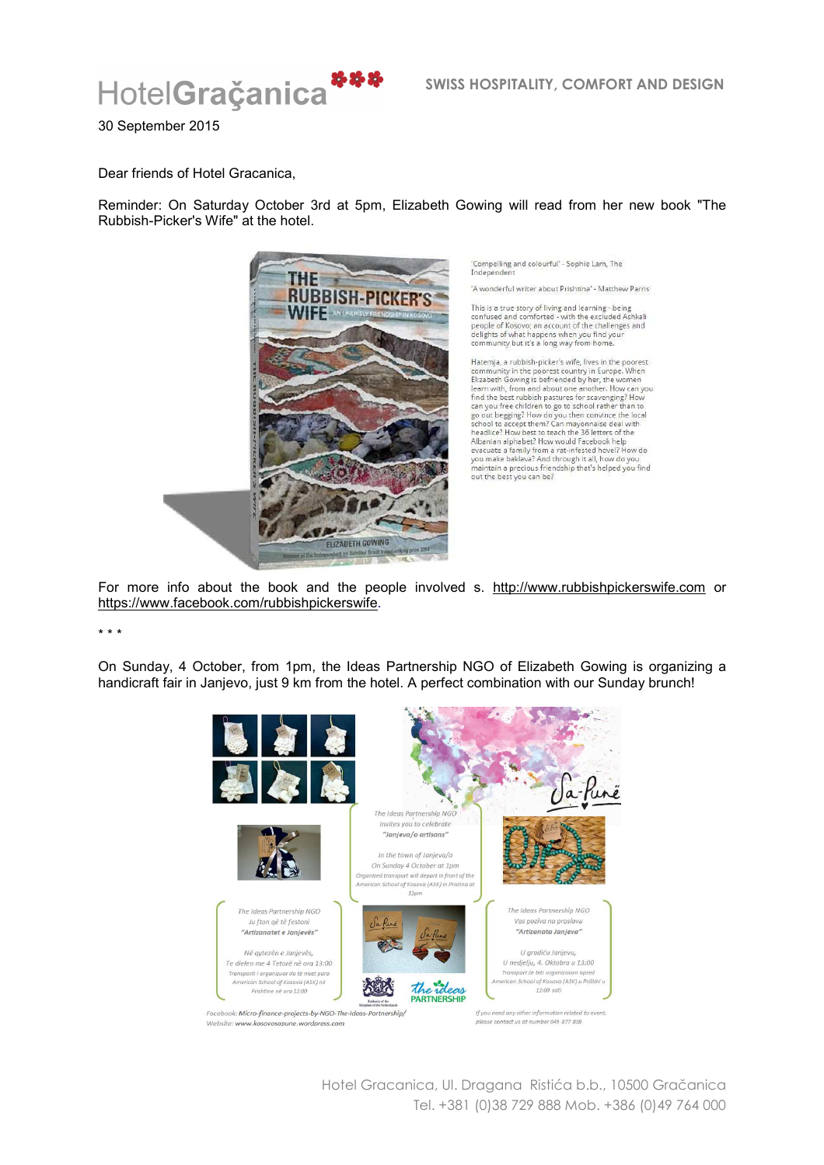

30 September 2015

Dear friends of Hotel Gracanica,

Reminder: On Saturday October 3rd at 5pm, Elizabeth Gowing will read from her new book "The Rubbish-Picker's Wife" at the hotel.



'Compelling and colourful' - Sophie Lam, The<br>Independent

'A wonderful writer about Prishtina' - Matthew Parris

This is a true story of living and learning - being confused and comforted - with the excluded Ashkali<br>people of Kosovo; an account of the challenges and<br>delights of what happens when you find your<br>community but it's a long way from home.

Hatemja, a rubbish-picker's wife, lives in the poorest From the poorest country in Europe, When<br>
Elizabeth Gowing is befriended by her, the women<br>
Elizabeth Gowing is befriended by her, the women<br>
learn with, from and about one another. How can you<br>
find the best rubbish pastu mean we be children to go to school rather than to<br>go out begging? How do you then convince the local<br>school to accept them? Can mayomaise deal with<br>headlice? How best to teach the 36 letters of the Maantan alphabet? How would Facebook help<br>evacuate a family from a rat-infested hovel? How do<br>you make bakkwa? And through it all, how do you<br>maintain a precious friendship that's helped you find<br>maintain a precious friend out the best you can be?

For more info about the book and the people involved s. http://www.rubbishpickerswife.com or https://www.facebook.com/rubbishpickerswife.

\* \* \*

On Sunday, 4 October, from 1pm, the Ideas Partnership NGO of Elizabeth Gowing is organizing a handicraft fair in Janjevo, just 9 km from the hotel. A perfect combination with our Sunday brunch!



Hotel Gracanica, Ul. Dragana Ristića b.b., 10500 Gračanica Tel. +381 (0)38 729 888 Mob. +386 (0)49 764 000